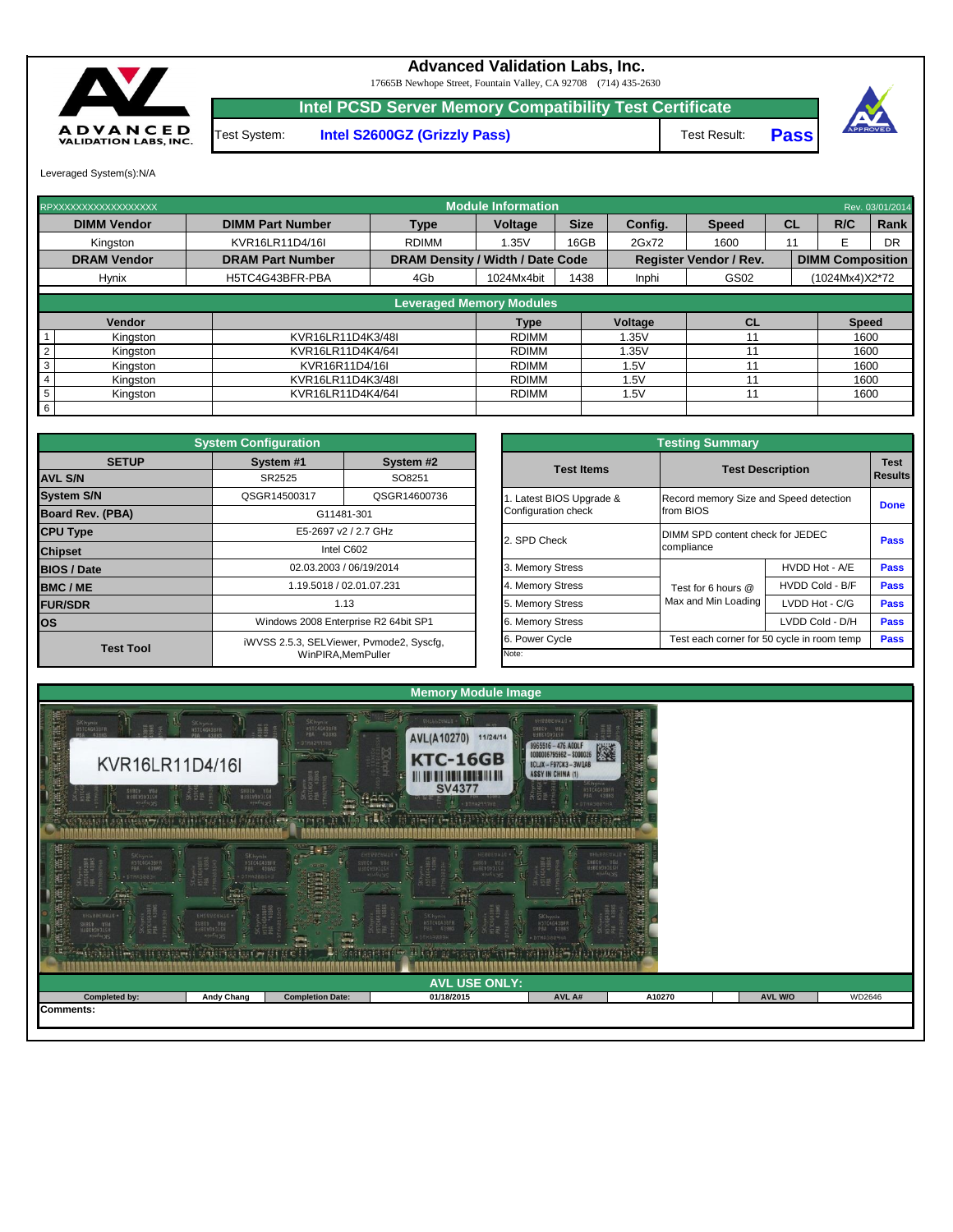Leveraged System(s):N/A

Test System: **Intel S2600GZ (Grizzly Pass)**

Test Result: **Pass**





## **Advanced Validation Labs, Inc.**

17665B Newhope Street, Fountain Valley, CA 92708 (714) 435-2630

**Intel PCSD Server Memory Compatibility Test Certificate**

| RPXXXXXXXXXXXXXXXXXX       |                         |                                         | <b>Module Information</b>       |             |                |                               |    |                         | Rev. 03/01/2014 |
|----------------------------|-------------------------|-----------------------------------------|---------------------------------|-------------|----------------|-------------------------------|----|-------------------------|-----------------|
| <b>DIMM Vendor</b>         | <b>DIMM Part Number</b> | <b>Type</b>                             | Voltage                         | <b>Size</b> | Config.        | <b>Speed</b>                  | CL | R/C                     | Rank            |
| Kingston                   | KVR16LR11D4/16I         | <b>RDIMM</b>                            | 1.35V                           | 16GB        | 2Gx72          | 1600                          | 11 |                         | <b>DR</b>       |
| <b>DRAM Vendor</b>         | <b>DRAM Part Number</b> | <b>DRAM Density / Width / Date Code</b> |                                 |             |                | <b>Register Vendor / Rev.</b> |    | <b>DIMM Composition</b> |                 |
| <b>Hynix</b>               | H5TC4G43BFR-PBA         | 4Gb                                     | 1024Mx4bit                      | 1438        | Inphi          | GS02                          |    | (1024Mx4)X2*72          |                 |
|                            |                         |                                         | <b>Leveraged Memory Modules</b> |             |                |                               |    |                         |                 |
| Vendor                     |                         |                                         | <b>Type</b>                     |             | <b>Voltage</b> | <b>CL</b>                     |    | <b>Speed</b>            |                 |
| Kingston                   | KVR16LR11D4K3/48I       |                                         | <b>RDIMM</b>                    |             | .35V           |                               |    | 1600                    |                 |
| $\overline{2}$<br>Kingston | KVR16LR11D4K4/64I       |                                         | <b>RDIMM</b>                    |             | .35V           |                               |    | 1600                    |                 |
| 3<br>Kingston              | KVR16R11D4/16I          |                                         | <b>RDIMM</b>                    |             | 1.5V           |                               |    | 1600                    |                 |
| Kingston                   | KVR16LR11D4K3/48I       |                                         | <b>RDIMM</b>                    |             | .5V            |                               |    | 1600                    |                 |
| 5<br>Kingston              | KVR16LR11D4K4/64I       |                                         | <b>RDIMM</b>                    |             | .5V            |                               |    | 1600                    |                 |
| 6                          |                         |                                         |                                 |             |                |                               |    |                         |                 |

|                                                 | <b>Testing Summary</b>                              |                         |             |  |  |  |  |
|-------------------------------------------------|-----------------------------------------------------|-------------------------|-------------|--|--|--|--|
| <b>Test Items</b>                               |                                                     | <b>Test Description</b> |             |  |  |  |  |
| 1. Latest BIOS Upgrade &<br>Configuration check | Record memory Size and Speed detection<br>from BIOS |                         | <b>Done</b> |  |  |  |  |
| 2. SPD Check                                    | DIMM SPD content check for JEDEC<br>compliance      | <b>Pass</b>             |             |  |  |  |  |
| 3. Memory Stress                                |                                                     | HVDD Hot - A/E          | <b>Pass</b> |  |  |  |  |
| 4. Memory Stress                                | Test for 6 hours $@$                                | HVDD Cold - B/F         | <b>Pass</b> |  |  |  |  |
| 5. Memory Stress                                | Max and Min Loading                                 | LVDD Hot - C/G          | <b>Pass</b> |  |  |  |  |
| 6. Memory Stress                                |                                                     | LVDD Cold - D/H         | <b>Pass</b> |  |  |  |  |
| 6. Power Cycle                                  | Test each corner for 50 cycle in room temp          | <b>Pass</b>             |             |  |  |  |  |
| Note:                                           |                                                     |                         |             |  |  |  |  |

|                         | <b>System Configuration</b> |                                          |                         | <b>Testing Summary</b>                 |                                            |             |
|-------------------------|-----------------------------|------------------------------------------|-------------------------|----------------------------------------|--------------------------------------------|-------------|
| <b>SETUP</b>            | System #1                   | System #2                                | <b>Test Items</b>       |                                        | <b>Test Description</b>                    | <b>Test</b> |
| <b>AVL S/N</b>          | SR2525                      | SO8251                                   |                         |                                        |                                            | Results     |
| <b>System S/N</b>       | QSGR14500317                | QSGR14600736                             | . Latest BIOS Upgrade & | Record memory Size and Speed detection |                                            |             |
| <b>Board Rev. (PBA)</b> |                             | G11481-301                               | Configuration check     | from BIOS                              |                                            | <b>Done</b> |
| <b>CPU Type</b>         |                             | E5-2697 v2 / 2.7 GHz                     | 2. SPD Check            | DIMM SPD content check for JEDEC       |                                            |             |
| <b>Chipset</b>          |                             | Intel C602                               |                         | compliance                             |                                            | <b>Pass</b> |
| <b>BIOS / Date</b>      |                             | 02.03.2003 / 06/19/2014                  | 3. Memory Stress        |                                        | HVDD Hot - A/E                             | <b>Pass</b> |
| <b>BMC/ME</b>           |                             | 1.19.5018 / 02.01.07.231                 | 4. Memory Stress        | Test for 6 hours @                     | HVDD Cold - B/F                            | <b>Pass</b> |
| <b>FUR/SDR</b>          |                             | 1.13                                     | 5. Memory Stress        | Max and Min Loading                    | LVDD Hot - C/G                             | <b>Pass</b> |
| <b>los</b>              |                             | Windows 2008 Enterprise R2 64bit SP1     | 6. Memory Stress        |                                        | LVDD Cold - D/H                            | <b>Pass</b> |
|                         |                             | iWVSS 2.5.3, SELViewer, Pvmode2, Syscfg, | 6. Power Cycle          |                                        | Test each corner for 50 cycle in room temp | <b>Pass</b> |
| <b>Test Tool</b>        |                             | WinPIRA, MemPuller                       | Note:                   |                                        |                                            |             |

| $\begin{matrix} \bullet \end{matrix}$<br>Æ<br>UNLOBEUMIN<br>第一<br>SHBEV VOd<br>11:00 29 23 151<br><b>TIUNY XS</b><br>ារះព<br><b>INCE IN THE CARD</b> | EHTG92UNL0 *<br>SVESS VIL<br><b>HJ8E050315H</b><br><b>RILLING</b> DIS<br>ico a militaria e e especial.<br>Lista de la constitución | <b>Allega</b><br><b>Abraham</b><br><b>AIV</b><br>- 11 | SK hynix.<br>H5TC4G43BFR<br>P84 438WS<br>HEBBEAMT!<br>(77707701)<br><b>Class C</b><br><b>List can go of Grand</b><br>$C_1$ , $C_2$<br>Lipme : | <b>SK</b> hynix<br>MSTC4G438FA<br><b>DIMASBERHA</b><br>--<br>207.1 | $-10.9$ |                |        |
|------------------------------------------------------------------------------------------------------------------------------------------------------|------------------------------------------------------------------------------------------------------------------------------------|-------------------------------------------------------|-----------------------------------------------------------------------------------------------------------------------------------------------|--------------------------------------------------------------------|---------|----------------|--------|
|                                                                                                                                                      |                                                                                                                                    |                                                       |                                                                                                                                               |                                                                    |         |                |        |
|                                                                                                                                                      |                                                                                                                                    |                                                       | <b>AVL USE ONLY:</b>                                                                                                                          |                                                                    |         |                |        |
| Completed by:                                                                                                                                        | <b>Andy Chang</b>                                                                                                                  | <b>Completion Date:</b>                               | 01/18/2015                                                                                                                                    | AVL A#                                                             | A10270  | <b>AVL W/O</b> | WD2646 |
| Comments:                                                                                                                                            |                                                                                                                                    |                                                       |                                                                                                                                               |                                                                    |         |                |        |
|                                                                                                                                                      |                                                                                                                                    |                                                       |                                                                                                                                               |                                                                    |         |                |        |
|                                                                                                                                                      |                                                                                                                                    |                                                       |                                                                                                                                               |                                                                    |         |                |        |